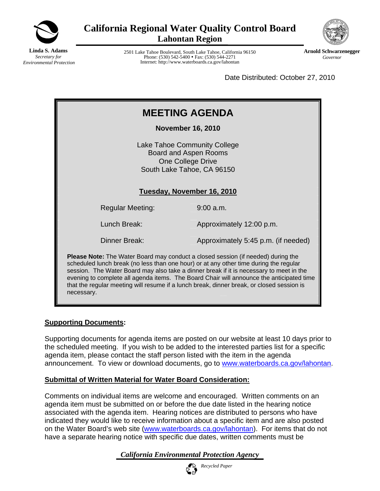

**California Regional Water Quality Control Board Lahontan Region** 

**Linda S. Adams** *Secretary for Environmental Protection*

2501 Lake Tahoe Boulevard, South Lake Tahoe, California 96150 Phone: (530) 542-5400 • Fax: (530) 544-2271 Internet: http://www.waterboards.ca.gov/lahontan



**Arnold Schwarzenegger** *Governor* 

Date Distributed: October 27, 2010

| <b>MEETING AGENDA</b>                                                                                                                                                                                                                                                      |                                     |  |  |
|----------------------------------------------------------------------------------------------------------------------------------------------------------------------------------------------------------------------------------------------------------------------------|-------------------------------------|--|--|
| <b>November 16, 2010</b>                                                                                                                                                                                                                                                   |                                     |  |  |
| Lake Tahoe Community College<br>Board and Aspen Rooms<br>One College Drive<br>South Lake Tahoe, CA 96150<br>Tuesday, November 16, 2010                                                                                                                                     |                                     |  |  |
| <b>Regular Meeting:</b>                                                                                                                                                                                                                                                    | $9:00$ a.m.                         |  |  |
| Lunch Break:                                                                                                                                                                                                                                                               | Approximately 12:00 p.m.            |  |  |
| Dinner Break:                                                                                                                                                                                                                                                              | Approximately 5:45 p.m. (if needed) |  |  |
| <b>Please Note:</b> The Water Board may conduct a closed session (if needed) during the<br>scheduled lunch break (no less than one hour) or at any other time during the regular<br>econion The Water Peard may also take a dinner broak if it is necessary to meet in the |                                     |  |  |

session. The Water Board may also take a dinner break if it is necessary to meet in the evening to complete all agenda items. The Board Chair will announce the anticipated time that the regular meeting will resume if a lunch break, dinner break, or closed session is necessary.

### **Supporting Documents:**

Supporting documents for agenda items are posted on our website at least 10 days prior to the scheduled meeting. If you wish to be added to the interested parties list for a specific agenda item, please contact the staff person listed with the item in the agenda announcement. To view or download documents, go to [www.waterboards.ca.gov/lahontan.](http://www.waterboards.ca.gov/lahontan)

### **Submittal of Written Material for Water Board Consideration:**

Comments on individual items are welcome and encouraged. Written comments on an agenda item must be submitted on or before the due date listed in the hearing notice associated with the agenda item. Hearing notices are distributed to persons who have indicated they would like to receive information about a specific item and are also posted on the Water Board's web site [\(www.waterboards.ca.gov/lahontan](http://www.waterboards.ca.gov/lahontan)). For items that do not have a separate hearing notice with specific due dates, written comments must be

*California Environmental Protection Agency*

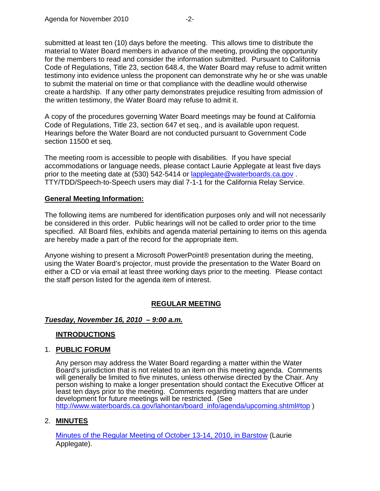submitted at least ten (10) days before the meeting. This allows time to distribute the material to Water Board members in advance of the meeting, providing the opportunity for the members to read and consider the information submitted. Pursuant to California Code of Regulations, Title 23, section 648.4, the Water Board may refuse to admit written testimony into evidence unless the proponent can demonstrate why he or she was unable to submit the material on time or that compliance with the deadline would otherwise create a hardship. If any other party demonstrates prejudice resulting from admission of the written testimony, the Water Board may refuse to admit it.

A copy of the procedures governing Water Board meetings may be found at California Code of Regulations, Title 23, section 647 et seq., and is available upon request. Hearings before the Water Board are not conducted pursuant to Government Code section 11500 et seq*.*

The meeting room is accessible to people with disabilities. If you have special accommodations or language needs, please contact Laurie Applegate at least five days prior to the meeting date at (530) 542-5414 or lapplegate@waterboards.ca.gov. TTY/TDD/Speech-to-Speech users may dial 7-1-1 for the California Relay Service.

### **General Meeting Information:**

The following items are numbered for identification purposes only and will not necessarily be considered in this order. Public hearings will not be called to order prior to the time specified. All Board files, exhibits and agenda material pertaining to items on this agenda are hereby made a part of the record for the appropriate item.

Anyone wishing to present a Microsoft PowerPoint® presentation during the meeting, using the Water Board's projector, must provide the presentation to the Water Board on either a CD or via email at least three working days prior to the meeting. Please contact the staff person listed for the agenda item of interest.

### **REGULAR MEETING**

### *Tuesday, November 16, 2010 – 9:00 a.m.*

### **INTRODUCTIONS**

### 1. **PUBLIC FORUM**

Any person may address the Water Board regarding a matter within the Water Board's jurisdiction that is not related to an item on this meeting agenda. Comments will generally be limited to five minutes, unless otherwise directed by the Chair. Any person wishing to make a longer presentation should contact the Executive Officer at least ten days prior to the meeting. Comments regarding matters that are under development for future meetings will be restricted. (See [http://www.waterboards.ca.gov/lahontan/board\\_info/agenda/upcoming.shtml#top](http://www.waterboards.ca.gov/lahontan/board_info/agenda/upcoming.shtml#top) )

### 2. **MINUTES**

[Minutes of the Regular Meeting of October 13-14, 2010, in Barstow](http://www.waterboards.ca.gov/lahontan/board_info/agenda/2010/nov/item2.pdf) (Laurie Applegate).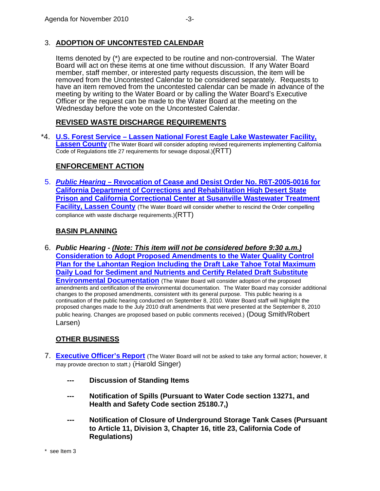# 3. **ADOPTION OF UNCONTESTED CALENDAR**

Items denoted by (\*) are expected to be routine and non-controversial. The Water Board will act on these items at one time without discussion. If any Water Board member, staff member, or interested party requests discussion, the item will be removed from the Uncontested Calendar to be considered separately. Requests to have an item removed from the uncontested calendar can be made in advance of the meeting by writing to the Water Board or by calling the Water Board's Executive Officer or the request can be made to the Water Board at the meeting on the Wednesday before the vote on the Uncontested Calendar.

# **REVISED WASTE DISCHARGE REQUIREMENTS**

\*4. **[U.S. Forest Service – Lassen National Forest Eagle Lake Wastewater Facility,](http://www.waterboards.ca.gov/lahontan/water_issues/projects/eagle_lake_ponds/)  [Lassen County](http://www.waterboards.ca.gov/lahontan/water_issues/projects/eagle_lake_ponds/)** (The Water Board will consider adopting revised requirements implementing California Code of Regulations title 27 requirements for sewage disposal.)(RTT)

# **ENFORCEMENT ACTION**

5. *Public Hearing –* **[Revocation of Cease and Desist Order No. R6T-2005-0016 for](http://www.waterboards.ca.gov/lahontan/board_info/agenda/2010/nov/susanville.pdf) [California Department of Corrections and Rehabilitation High Desert State](http://www.waterboards.ca.gov/lahontan/board_info/agenda/2010/nov/susanville.pdf)  [Prison and California Correctional Center at Susanville Wastewater Treatment](http://www.waterboards.ca.gov/lahontan/board_info/agenda/2010/nov/susanville.pdf)  [Facility, Lassen County](http://www.waterboards.ca.gov/lahontan/board_info/agenda/2010/nov/susanville.pdf)** (The Water Board will consider whether to rescind the Order compelling compliance with waste discharge requirements.)(RTT)

## **BASIN PLANNING**

6. *Public Hearing - (Note: This item will not be considered before 9:30 a.m.)* **[Consideration to Adopt Proposed Amendments to the Water Quality Control](http://www.waterboards.ca.gov/lahontan/water_issues/programs/tmdl/lake_tahoe/brd_mbr_pckt.shtml)  [Plan for the Lahontan Region Including the Draft Lake Tahoe Total Maximum](http://www.waterboards.ca.gov/lahontan/water_issues/programs/tmdl/lake_tahoe/brd_mbr_pckt.shtml)  [Daily Load for Sediment and Nutrients and Certify Related Draft Substitute](http://www.waterboards.ca.gov/lahontan/water_issues/programs/tmdl/lake_tahoe/brd_mbr_pckt.shtml)  [Environmental Documentation](http://www.waterboards.ca.gov/lahontan/water_issues/programs/tmdl/lake_tahoe/brd_mbr_pckt.shtml)** (The Water Board will consider adoption of the proposed amendments and certification of the environmental documentation. The Water Board may consider additional changes to the proposed amendments, consistent with its general purpose. This public hearing is a continuation of the public hearing conducted on September 8, 2010. Water Board staff will highlight the proposed changes made to the July 2010 draft amendments that were presented at the September 8, 2010 public hearing. Changes are proposed based on public comments received.) (Doug Smith/Robert Larsen)

# **OTHER BUSINESS**

- 7. **[Executive Officer's Report](http://www.waterboards.ca.gov/lahontan/board_info/agenda/2010/nov/item7.pdf)** (The Water Board will not be asked to take any formal action; however, it may provide direction to staff.) (Harold Singer)
	- **Discussion of Standing Items**
	- **Notification of Spills (Pursuant to Water Code section 13271, and Health and Safety Code section 25180.7,)**
	- **Notification of Closure of Underground Storage Tank Cases (Pursuant to Article 11, Division 3, Chapter 16, title 23, California Code of Regulations)**

\* see Item 3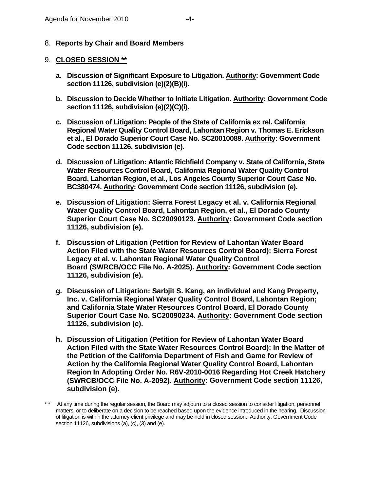8. **Reports by Chair and Board Members** 

### 9. **CLOSED SESSION \*\***

- **a. Discussion of Significant Exposure to Litigation. Authority: Government Code section 11126, subdivision (e)(2)(B)(i).**
- **b. Discussion to Decide Whether to Initiate Litigation. Authority: Government Code section 11126, subdivision (e)(2)(C)(i).**
- **c. Discussion of Litigation: People of the State of California ex rel. California Regional Water Quality Control Board, Lahontan Region v. Thomas E. Erickson et al., El Dorado Superior Court Case No. SC20010089. Authority: Government Code section 11126, subdivision (e).**
- **d. Discussion of Litigation: Atlantic Richfield Company v. State of California, State Water Resources Control Board, California Regional Water Quality Control Board, Lahontan Region, et al., Los Angeles County Superior Court Case No. BC380474. Authority: Government Code section 11126, subdivision (e).**
- **e. Discussion of Litigation: Sierra Forest Legacy et al. v. California Regional Water Quality Control Board, Lahontan Region, et al., El Dorado County Superior Court Case No. SC20090123. Authority: Government Code section 11126, subdivision (e).**
- **f. Discussion of Litigation (Petition for Review of Lahontan Water Board Action Filed with the State Water Resources Control Board): Sierra Forest Legacy et al. v. Lahontan Regional Water Quality Control Board (SWRCB/OCC File No. A-2025). Authority: Government Code section 11126, subdivision (e).**
- **g. Discussion of Litigation: Sarbjit S. Kang, an individual and Kang Property, Inc. v. California Regional Water Quality Control Board, Lahontan Region; and California State Water Resources Control Board, El Dorado County Superior Court Case No. SC20090234. Authority: Government Code section 11126, subdivision (e).**
- **h. Discussion of Litigation (Petition for Review of Lahontan Water Board Action Filed with the State Water Resources Control Board): In the Matter of the Petition of the California Department of Fish and Game for Review of Action by the California Regional Water Quality Control Board, Lahontan Region In Adopting Order No. R6V-2010-0016 Regarding Hot Creek Hatchery (SWRCB/OCC File No. A-2092). Authority: Government Code section 11126, subdivision (e).**
- \* \* At any time during the regular session, the Board may adjourn to a closed session to consider litigation, personnel matters, or to deliberate on a decision to be reached based upon the evidence introduced in the hearing. Discussion of litigation is within the attorney-client privilege and may be held in closed session. Authority: Government Code section 11126, subdivisions (a), (c), (3) and (e).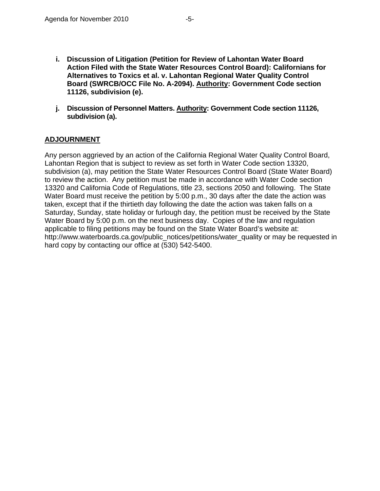- **i. Discussion of Litigation (Petition for Review of Lahontan Water Board Action Filed with the State Water Resources Control Board): Californians for Alternatives to Toxics et al. v. Lahontan Regional Water Quality Control Board (SWRCB/OCC File No. A-2094). Authority: Government Code section 11126, subdivision (e).**
- **j. Discussion of Personnel Matters. Authority: Government Code section 11126, subdivision (a).**

### **ADJOURNMENT**

Any person aggrieved by an action of the California Regional Water Quality Control Board, Lahontan Region that is subject to review as set forth in Water Code section 13320, subdivision (a), may petition the State Water Resources Control Board (State Water Board) to review the action. Any petition must be made in accordance with Water Code section 13320 and California Code of Regulations, title 23, sections 2050 and following. The State Water Board must receive the petition by 5:00 p.m., 30 days after the date the action was taken, except that if the thirtieth day following the date the action was taken falls on a Saturday, Sunday, state holiday or furlough day, the petition must be received by the State Water Board by 5:00 p.m. on the next business day. Copies of the law and regulation applicable to filing petitions may be found on the State Water Board's website at: [http://www.waterboards.ca.gov/public\\_notices/petitions/water\\_quality](http://www.waterboards.ca.gov/public_notices/petitions/water_quality) or may be requested in hard copy by contacting our office at (530) 542-5400.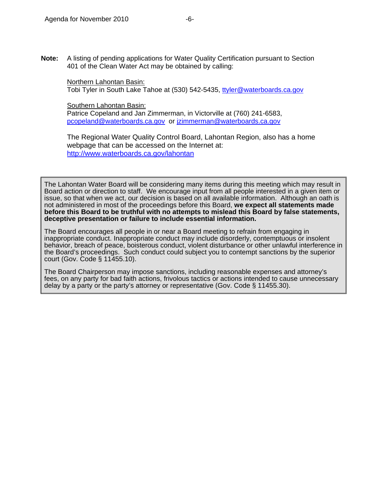**Note:** A listing of pending applications for Water Quality Certification pursuant to Section 401 of the Clean Water Act may be obtained by calling:

Northern Lahontan Basin: Tobi Tyler in South Lake Tahoe at (530) 542-5435, [ttyler@waterboards.ca.gov](mailto:ttyler@waterboards.ca.gov)

Southern Lahontan Basin:

Patrice Copeland and Jan Zimmerman, in Victorville at (760) 241-6583, [pcopeland@waterboards.ca.gov](mailto:pcopeland@waterboards.ca.gov) or [jzimmerman@waterboards.ca.gov](mailto:jzimmerman@waterboards.ca.gov) 

The Regional Water Quality Control Board, Lahontan Region, also has a home webpage that can be accessed on the Internet at: <http://www.waterboards.ca.gov/lahontan>

The Lahontan Water Board will be considering many items during this meeting which may result in Board action or direction to staff. We encourage input from all people interested in a given item or issue, so that when we act, our decision is based on all available information. Although an oath is not administered in most of the proceedings before this Board, **we expect all statements made before this Board to be truthful with no attempts to mislead this Board by false statements, deceptive presentation or failure to include essential information.** 

The Board encourages all people in or near a Board meeting to refrain from engaging in inappropriate conduct. Inappropriate conduct may include disorderly, contemptuous or insolent behavior, breach of peace, boisterous conduct, violent disturbance or other unlawful interference in the Board's proceedings. Such conduct could subject you to contempt sanctions by the superior court (Gov. Code § 11455.10).

The Board Chairperson may impose sanctions, including reasonable expenses and attorney's fees, on any party for bad faith actions, frivolous tactics or actions intended to cause unnecessary delay by a party or the party's attorney or representative (Gov. Code § 11455.30).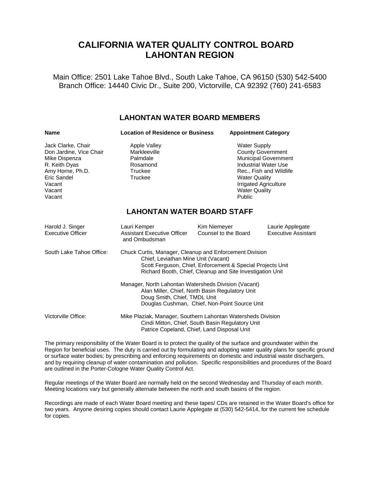# **CALIFORNIA WATER QUALITY CONTROL BOARD LAHONTAN REGION**

Main Office: 2501 Lake Tahoe Blvd., South Lake Tahoe, CA 96150 (530) 542-5400 Branch Office: 14440 Civic Dr., Suite 200, Victorville, CA 92392 (760) 241-6583

### **LAHONTAN WATER BOARD MEMBERS**

| <b>Name</b>                                                                                                                                      | <b>Location of Residence or Business</b>                                                                                                                                                                                  |                                                                                                                                                                                                               | <b>Appointment Category</b>                    |  |
|--------------------------------------------------------------------------------------------------------------------------------------------------|---------------------------------------------------------------------------------------------------------------------------------------------------------------------------------------------------------------------------|---------------------------------------------------------------------------------------------------------------------------------------------------------------------------------------------------------------|------------------------------------------------|--|
| Jack Clarke, Chair<br>Don Jardine, Vice Chair<br>Mike Dispenza<br>R. Keith Dyas<br>Amy Horne, Ph.D.<br>Eric Sandel<br>Vacant<br>Vacant<br>Vacant | <b>Apple Valley</b><br>Markleeville<br>Palmdale<br>Rosamond<br>Truckee<br>Truckee                                                                                                                                         | <b>Water Supply</b><br><b>County Government</b><br>Municipal Government<br>Industrial Water Use<br>Rec., Fish and Wildlife<br><b>Water Quality</b><br>Irrigated Agriculture<br><b>Water Quality</b><br>Public |                                                |  |
| <b>LAHONTAN WATER BOARD STAFF</b>                                                                                                                |                                                                                                                                                                                                                           |                                                                                                                                                                                                               |                                                |  |
| Harold J. Singer<br><b>Executive Officer</b>                                                                                                     | Lauri Kemper<br><b>Assistant Executive Officer</b><br>and Ombudsman                                                                                                                                                       | Kim Niemeyer<br>Counsel to the Board                                                                                                                                                                          | Laurie Applegate<br><b>Executive Assistant</b> |  |
| South Lake Tahoe Office:                                                                                                                         | Chuck Curtis, Manager, Cleanup and Enforcement Division<br>Chief, Leviathan Mine Unit (Vacant)<br>Scott Ferguson, Chief, Enforcement & Special Projects Unit<br>Richard Booth, Chief, Cleanup and Site Investigation Unit |                                                                                                                                                                                                               |                                                |  |
|                                                                                                                                                  | Manager, North Lahontan Watersheds Division (Vacant)<br>Alan Miller, Chief, North Basin Regulatory Unit<br>Doug Smith, Chief, TMDL Unit<br>Douglas Cushman, Chief, Non-Point Source Unit                                  |                                                                                                                                                                                                               |                                                |  |
| Victorville Office:                                                                                                                              | Mike Plaziak, Manager, Southern Lahontan Watersheds Division<br>Cindi Mitton, Chief, South Basin Regulatory Unit<br>Patrice Copeland, Chief, Land Disposal Unit                                                           |                                                                                                                                                                                                               |                                                |  |

The primary responsibility of the Water Board is to protect the quality of the surface and groundwater within the Region for beneficial uses. The duty is carried out by formulating and adopting water quality plans for specific ground or surface water bodies; by prescribing and enforcing requirements on domestic and industrial waste dischargers, and by requiring cleanup of water contamination and pollution. Specific responsibilities and procedures of the Board are outlined in the Porter-Cologne Water Quality Control Act.

Regular meetings of the Water Board are normally held on the second Wednesday and Thursday of each month. Meeting locations vary but generally alternate between the north and south basins of the region.

Recordings are made of each Water Board meeting and these tapes/ CDs are retained in the Water Board's office for two years. Anyone desiring copies should contact Laurie Applegate at (530) 542-5414, for the current fee schedule for copies.